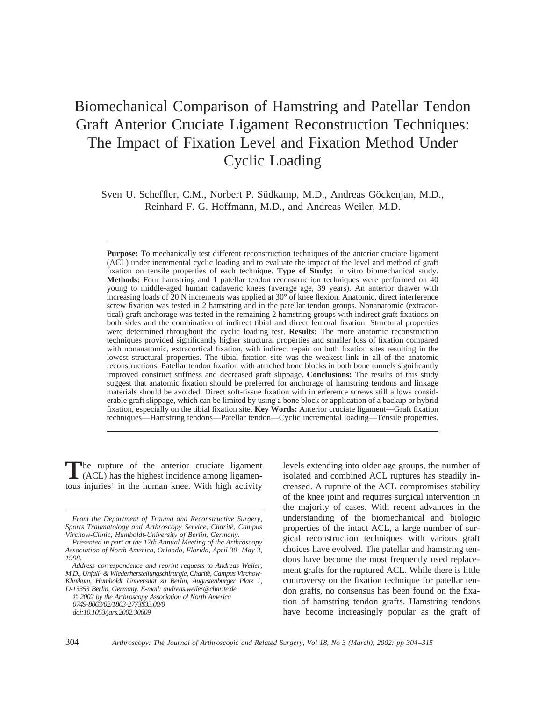# Biomechanical Comparison of Hamstring and Patellar Tendon Graft Anterior Cruciate Ligament Reconstruction Techniques: The Impact of Fixation Level and Fixation Method Under Cyclic Loading

Sven U. Scheffler, C.M., Norbert P. Südkamp, M.D., Andreas Göckenjan, M.D., Reinhard F. G. Hoffmann, M.D., and Andreas Weiler, M.D.

**Purpose:** To mechanically test different reconstruction techniques of the anterior cruciate ligament (ACL) under incremental cyclic loading and to evaluate the impact of the level and method of graft fixation on tensile properties of each technique. **Type of Study:** In vitro biomechanical study. **Methods:** Four hamstring and 1 patellar tendon reconstruction techniques were performed on 40 young to middle-aged human cadaveric knees (average age, 39 years). An anterior drawer with increasing loads of 20 N increments was applied at 30° of knee flexion. Anatomic, direct interference screw fixation was tested in 2 hamstring and in the patellar tendon groups. Nonanatomic (extracortical) graft anchorage was tested in the remaining 2 hamstring groups with indirect graft fixations on both sides and the combination of indirect tibial and direct femoral fixation. Structural properties were determined throughout the cyclic loading test. **Results:** The more anatomic reconstruction techniques provided significantly higher structural properties and smaller loss of fixation compared with nonanatomic, extracortical fixation, with indirect repair on both fixation sites resulting in the lowest structural properties. The tibial fixation site was the weakest link in all of the anatomic reconstructions. Patellar tendon fixation with attached bone blocks in both bone tunnels significantly improved construct stiffness and decreased graft slippage. **Conclusions:** The results of this study suggest that anatomic fixation should be preferred for anchorage of hamstring tendons and linkage materials should be avoided. Direct soft-tissue fixation with interference screws still allows considerable graft slippage, which can be limited by using a bone block or application of a backup or hybrid fixation, especially on the tibial fixation site. **Key Words:** Anterior cruciate ligament—Graft fixation techniques—Hamstring tendons—Patellar tendon—Cyclic incremental loading—Tensile properties.

**T**he rupture of the anterior cruciate ligament (ACL) has the highest incidence among ligamentous injuries<sup>1</sup> in the human knee. With high activity

© *2002 by the Arthroscopy Association of North America 0749-8063/02/1803-2773\$35.00/0 doi:10.1053/jars.2002.30609*

levels extending into older age groups, the number of isolated and combined ACL ruptures has steadily increased. A rupture of the ACL compromises stability of the knee joint and requires surgical intervention in the majority of cases. With recent advances in the understanding of the biomechanical and biologic properties of the intact ACL, a large number of surgical reconstruction techniques with various graft choices have evolved. The patellar and hamstring tendons have become the most frequently used replacement grafts for the ruptured ACL. While there is little controversy on the fixation technique for patellar tendon grafts, no consensus has been found on the fixation of hamstring tendon grafts. Hamstring tendons have become increasingly popular as the graft of

*From the Department of Trauma and Reconstructive Surgery, Sports Traumatology and Arthroscopy Service, Charite´, Campus Virchow-Clinic, Humboldt-University of Berlin, Germany.*

*Presented in part at the 17th Annual Meeting of the Arthroscopy Association of North America, Orlando, Florida, April 30–May 3, 1998.*

*Address correspondence and reprint requests to Andreas Weiler, M.D., Unfall- & Wiederherstellungschirurgie, Charite´, Campus Virchow-*Klinikum, Humboldt Universität zu Berlin, Augustenburger Platz 1, *D-13353 Berlin, Germany. E-mail: andreas.weiler@charite.de*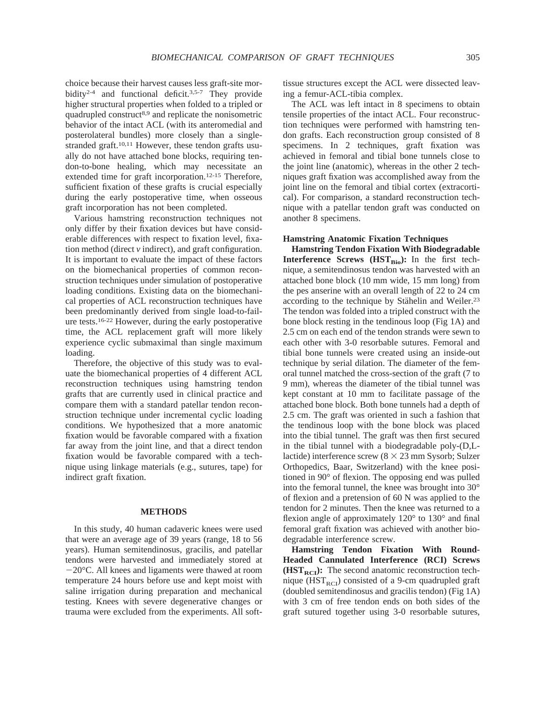choice because their harvest causes less graft-site morbidity2-4 and functional deficit.3,5-7 They provide higher structural properties when folded to a tripled or quadrupled construct<sup>8,9</sup> and replicate the nonisometric behavior of the intact ACL (with its anteromedial and posterolateral bundles) more closely than a singlestranded graft.10,11 However, these tendon grafts usually do not have attached bone blocks, requiring tendon-to-bone healing, which may necessitate an extended time for graft incorporation.12-15 Therefore, sufficient fixation of these grafts is crucial especially during the early postoperative time, when osseous graft incorporation has not been completed.

Various hamstring reconstruction techniques not only differ by their fixation devices but have considerable differences with respect to fixation level, fixation method (direct *v* indirect), and graft configuration. It is important to evaluate the impact of these factors on the biomechanical properties of common reconstruction techniques under simulation of postoperative loading conditions. Existing data on the biomechanical properties of ACL reconstruction techniques have been predominantly derived from single load-to-failure tests.16-22 However, during the early postoperative time, the ACL replacement graft will more likely experience cyclic submaximal than single maximum loading.

Therefore, the objective of this study was to evaluate the biomechanical properties of 4 different ACL reconstruction techniques using hamstring tendon grafts that are currently used in clinical practice and compare them with a standard patellar tendon reconstruction technique under incremental cyclic loading conditions. We hypothesized that a more anatomic fixation would be favorable compared with a fixation far away from the joint line, and that a direct tendon fixation would be favorable compared with a technique using linkage materials (e.g., sutures, tape) for indirect graft fixation.

#### **METHODS**

In this study, 40 human cadaveric knees were used that were an average age of 39 years (range, 18 to 56 years). Human semitendinosus, gracilis, and patellar tendons were harvested and immediately stored at  $-20$ °C. All knees and ligaments were thawed at room temperature 24 hours before use and kept moist with saline irrigation during preparation and mechanical testing. Knees with severe degenerative changes or trauma were excluded from the experiments. All softtissue structures except the ACL were dissected leaving a femur-ACL-tibia complex.

The ACL was left intact in 8 specimens to obtain tensile properties of the intact ACL. Four reconstruction techniques were performed with hamstring tendon grafts. Each reconstruction group consisted of 8 specimens. In 2 techniques, graft fixation was achieved in femoral and tibial bone tunnels close to the joint line (anatomic), whereas in the other 2 techniques graft fixation was accomplished away from the joint line on the femoral and tibial cortex (extracortical). For comparison, a standard reconstruction technique with a patellar tendon graft was conducted on another 8 specimens.

## **Hamstring Anatomic Fixation Techniques**

**Hamstring Tendon Fixation With Biodegradable Interference Screws (** $\text{HST}_{\text{Bio}}$ **):** In the first technique, a semitendinosus tendon was harvested with an attached bone block (10 mm wide, 15 mm long) from the pes anserine with an overall length of 22 to 24 cm according to the technique by Stähelin and Weiler.<sup>23</sup> The tendon was folded into a tripled construct with the bone block resting in the tendinous loop (Fig 1A) and 2.5 cm on each end of the tendon strands were sewn to each other with 3-0 resorbable sutures. Femoral and tibial bone tunnels were created using an inside-out technique by serial dilation. The diameter of the femoral tunnel matched the cross-section of the graft (7 to 9 mm), whereas the diameter of the tibial tunnel was kept constant at 10 mm to facilitate passage of the attached bone block. Both bone tunnels had a depth of 2.5 cm. The graft was oriented in such a fashion that the tendinous loop with the bone block was placed into the tibial tunnel. The graft was then first secured in the tibial tunnel with a biodegradable poly-(D,Llactide) interference screw ( $8 \times 23$  mm Sysorb; Sulzer Orthopedics, Baar, Switzerland) with the knee positioned in 90° of flexion. The opposing end was pulled into the femoral tunnel, the knee was brought into 30° of flexion and a pretension of 60 N was applied to the tendon for 2 minutes. Then the knee was returned to a flexion angle of approximately 120° to 130° and final femoral graft fixation was achieved with another biodegradable interference screw.

**Hamstring Tendon Fixation With Round-Headed Cannulated Interference (RCI) Screws**  $(HST_{\text{RCI}})$ : The second anatomic reconstruction technique ( $HST_{RCI}$ ) consisted of a 9-cm quadrupled graft (doubled semitendinosus and gracilis tendon) (Fig 1A) with 3 cm of free tendon ends on both sides of the graft sutured together using 3-0 resorbable sutures,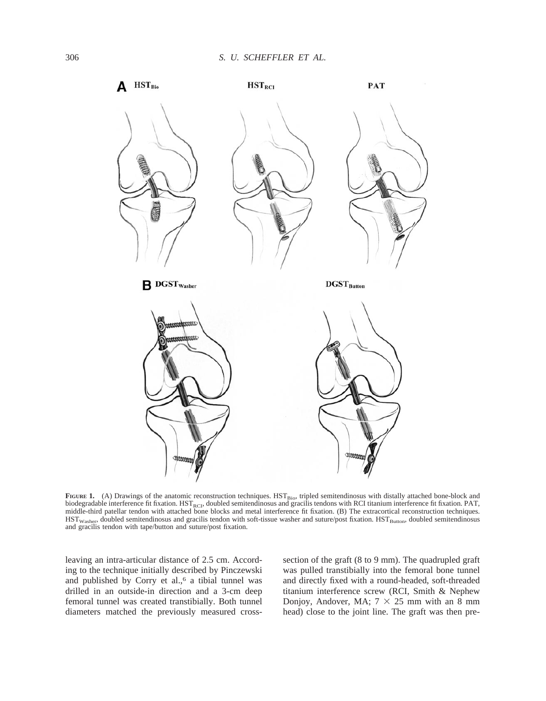

FIGURE 1. (A) Drawings of the anatomic reconstruction techniques.  $HST_{\text{Bio}}$ , tripled semitendinosus with distally attached bone-block and biodegradable interference fit fixation.  $HST_{RCI}$ , doubled semitendinosus and gracilis tendons with RCI titanium interference fit fixation. PAT, middle-third patellar tendon with attached bone blocks and metal interference fit fixation. (B) The extracortical reconstruction techniques.  $HST_{Washer}$ , doubled semitendinosus and gracilis tendon with soft-tissue washer and suture/post fixation.  $HST_{Button}$ , doubled semitendinosus and gracilis tendon with tape/button and suture/post fixation.

leaving an intra-articular distance of 2.5 cm. According to the technique initially described by Pinczewski and published by Corry et al.,<sup>6</sup> a tibial tunnel was drilled in an outside-in direction and a 3-cm deep femoral tunnel was created transtibially. Both tunnel diameters matched the previously measured cross-

section of the graft (8 to 9 mm). The quadrupled graft was pulled transtibially into the femoral bone tunnel and directly fixed with a round-headed, soft-threaded titanium interference screw (RCI, Smith & Nephew Donjoy, Andover, MA;  $7 \times 25$  mm with an 8 mm head) close to the joint line. The graft was then pre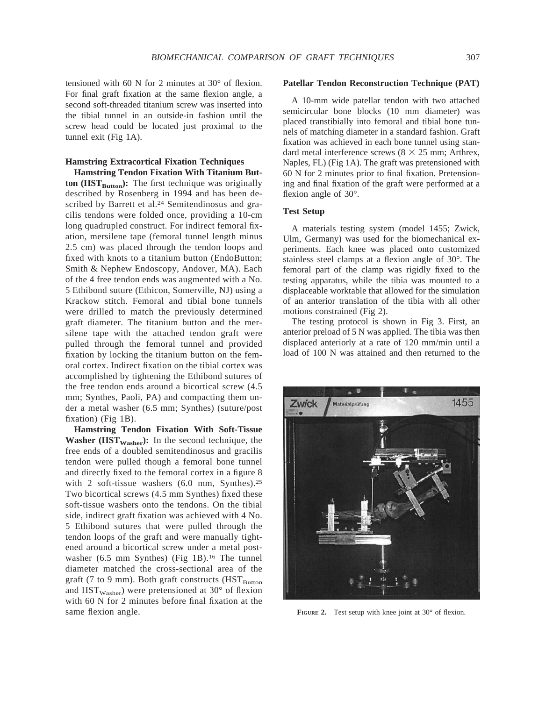tensioned with 60 N for 2 minutes at 30° of flexion. For final graft fixation at the same flexion angle, a second soft-threaded titanium screw was inserted into the tibial tunnel in an outside-in fashion until the screw head could be located just proximal to the tunnel exit (Fig 1A).

## **Hamstring Extracortical Fixation Techniques**

**Hamstring Tendon Fixation With Titanium But**ton (HST<sub>Button</sub>): The first technique was originally described by Rosenberg in 1994 and has been described by Barrett et al.<sup>24</sup> Semitendinosus and gracilis tendons were folded once, providing a 10-cm long quadrupled construct. For indirect femoral fixation, mersilene tape (femoral tunnel length minus 2.5 cm) was placed through the tendon loops and fixed with knots to a titanium button (EndoButton; Smith & Nephew Endoscopy, Andover, MA). Each of the 4 free tendon ends was augmented with a No. 5 Ethibond suture (Ethicon, Somerville, NJ) using a Krackow stitch. Femoral and tibial bone tunnels were drilled to match the previously determined graft diameter. The titanium button and the mersilene tape with the attached tendon graft were pulled through the femoral tunnel and provided fixation by locking the titanium button on the femoral cortex. Indirect fixation on the tibial cortex was accomplished by tightening the Ethibond sutures of the free tendon ends around a bicortical screw (4.5 mm; Synthes, Paoli, PA) and compacting them under a metal washer (6.5 mm; Synthes) (suture/post fixation) (Fig 1B).

**Hamstring Tendon Fixation With Soft-Tissue Washer (HST** $_{\text{Washer}}$ ): In the second technique, the free ends of a doubled semitendinosus and gracilis tendon were pulled though a femoral bone tunnel and directly fixed to the femoral cortex in a figure 8 with 2 soft-tissue washers (6.0 mm, Synthes).<sup>25</sup> Two bicortical screws (4.5 mm Synthes) fixed these soft-tissue washers onto the tendons. On the tibial side, indirect graft fixation was achieved with 4 No. 5 Ethibond sutures that were pulled through the tendon loops of the graft and were manually tightened around a bicortical screw under a metal postwasher (6.5 mm Synthes) (Fig 1B).<sup>16</sup> The tunnel diameter matched the cross-sectional area of the graft (7 to 9 mm). Both graft constructs  $(HST<sub>Button</sub>)$ and  $HST_{Washer}$ ) were pretensioned at 30 $^{\circ}$  of flexion with 60 N for 2 minutes before final fixation at the same flexion angle.

## **Patellar Tendon Reconstruction Technique (PAT)**

A 10-mm wide patellar tendon with two attached semicircular bone blocks (10 mm diameter) was placed transtibially into femoral and tibial bone tunnels of matching diameter in a standard fashion. Graft fixation was achieved in each bone tunnel using standard metal interference screws ( $8 \times 25$  mm; Arthrex, Naples, FL) (Fig 1A). The graft was pretensioned with 60 N for 2 minutes prior to final fixation. Pretensioning and final fixation of the graft were performed at a flexion angle of 30°.

### **Test Setup**

A materials testing system (model 1455; Zwick, Ulm, Germany) was used for the biomechanical experiments. Each knee was placed onto customized stainless steel clamps at a flexion angle of 30°. The femoral part of the clamp was rigidly fixed to the testing apparatus, while the tibia was mounted to a displaceable worktable that allowed for the simulation of an anterior translation of the tibia with all other motions constrained (Fig 2).

The testing protocol is shown in Fig 3. First, an anterior preload of 5 N was applied. The tibia was then displaced anteriorly at a rate of 120 mm/min until a load of 100 N was attained and then returned to the



**FIGURE 2.** Test setup with knee joint at 30° of flexion.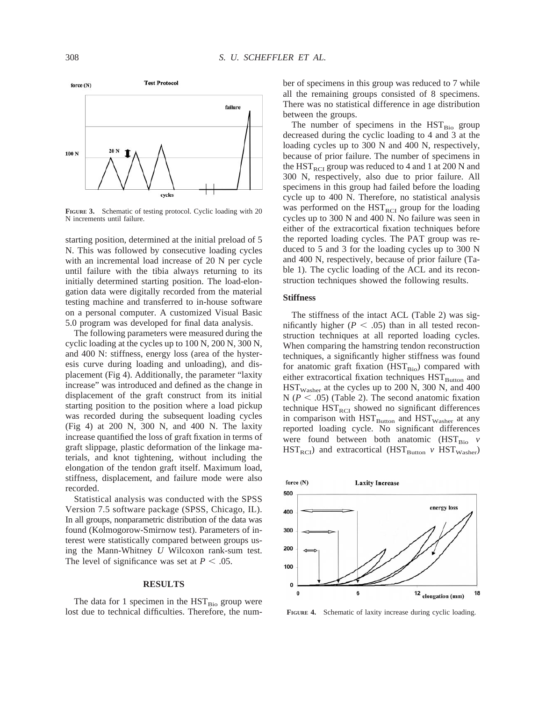

**FIGURE 3.** Schematic of testing protocol. Cyclic loading with 20 N increments until failure.

starting position, determined at the initial preload of 5 N. This was followed by consecutive loading cycles with an incremental load increase of 20 N per cycle until failure with the tibia always returning to its initially determined starting position. The load-elongation data were digitally recorded from the material testing machine and transferred to in-house software on a personal computer. A customized Visual Basic 5.0 program was developed for final data analysis.

The following parameters were measured during the cyclic loading at the cycles up to 100 N, 200 N, 300 N, and 400 N: stiffness, energy loss (area of the hysteresis curve during loading and unloading), and displacement (Fig 4). Additionally, the parameter "laxity increase" was introduced and defined as the change in displacement of the graft construct from its initial starting position to the position where a load pickup was recorded during the subsequent loading cycles (Fig 4) at 200 N, 300 N, and 400 N. The laxity increase quantified the loss of graft fixation in terms of graft slippage, plastic deformation of the linkage materials, and knot tightening, without including the elongation of the tendon graft itself. Maximum load, stiffness, displacement, and failure mode were also recorded.

Statistical analysis was conducted with the SPSS Version 7.5 software package (SPSS, Chicago, IL). In all groups, nonparametric distribution of the data was found (Kolmogorow-Smirnow test). Parameters of interest were statistically compared between groups using the Mann-Whitney *U* Wilcoxon rank-sum test. The level of significance was set at  $P < .05$ .

#### **RESULTS**

The data for 1 specimen in the  $HST_{\text{Bio}}$  group were lost due to technical difficulties. Therefore, the number of specimens in this group was reduced to 7 while all the remaining groups consisted of 8 specimens. There was no statistical difference in age distribution between the groups.

The number of specimens in the  $HST_{\text{Bio}}$  group decreased during the cyclic loading to 4 and 3 at the loading cycles up to 300 N and 400 N, respectively, because of prior failure. The number of specimens in the  $HST_{\text{RCI}}$  group was reduced to 4 and 1 at 200 N and 300 N, respectively, also due to prior failure. All specimens in this group had failed before the loading cycle up to 400 N. Therefore, no statistical analysis was performed on the  $HST_{\text{RCI}}$  group for the loading cycles up to 300 N and 400 N. No failure was seen in either of the extracortical fixation techniques before the reported loading cycles. The PAT group was reduced to 5 and 3 for the loading cycles up to 300 N and 400 N, respectively, because of prior failure (Table 1). The cyclic loading of the ACL and its reconstruction techniques showed the following results.

## **Stiffness**

The stiffness of the intact ACL (Table 2) was significantly higher ( $P < .05$ ) than in all tested reconstruction techniques at all reported loading cycles. When comparing the hamstring tendon reconstruction techniques, a significantly higher stiffness was found for anatomic graft fixation  $(HST_{\text{Bio}})$  compared with either extracortical fixation techniques  $HST<sub>Button</sub>$  and  $HST_{\text{Washer}}$  at the cycles up to 200 N, 300 N, and 400 N ( $P < .05$ ) (Table 2). The second anatomic fixation technique  $HST_{RCI}$  showed no significant differences in comparison with  $HST<sub>Button</sub>$  and  $HST<sub>Washer</sub>$  at any reported loading cycle. No significant differences were found between both anatomic  $(HST_{\text{Bio}})$  *v*  $HST_{\text{RCI}}$ ) and extracortical ( $HST_{\text{Button}}$  *v*  $HST_{\text{Washer}}$ )



**FIGURE 4.** Schematic of laxity increase during cyclic loading.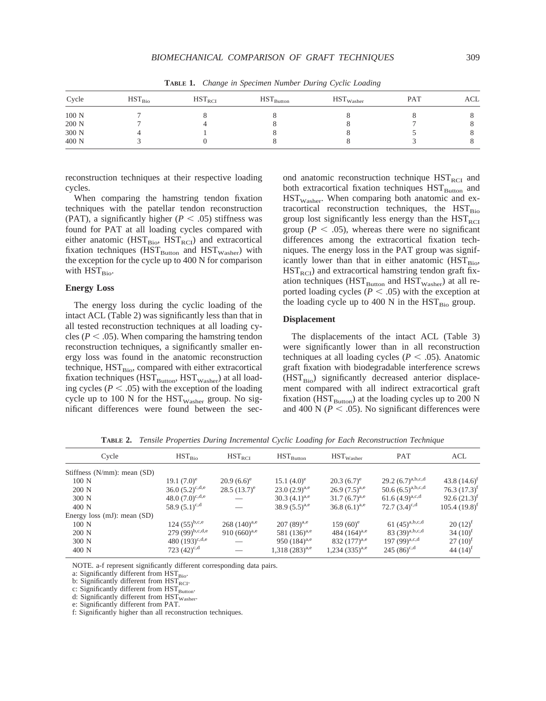| Cycle | $HST_{Bio}$ | $HST_{RCI}$ | $HST_{\text{Button}}$ | $HST_{Washer}$ | PAT | <b>ACL</b> |
|-------|-------------|-------------|-----------------------|----------------|-----|------------|
| 100 N |             |             |                       |                |     |            |
| 200 N |             |             |                       |                |     |            |
| 300 N |             |             |                       |                |     |            |
| 400 N |             |             |                       |                |     |            |

**TABLE 1.** *Change in Specimen Number During Cyclic Loading*

reconstruction techniques at their respective loading cycles.

When comparing the hamstring tendon fixation techniques with the patellar tendon reconstruction (PAT), a significantly higher ( $P < .05$ ) stiffness was found for PAT at all loading cycles compared with either anatomic ( $HST<sub>Bio</sub>$ ,  $HST<sub>RCI</sub>$ ) and extracortical fixation techniques ( $HST<sub>Button</sub>$  and  $HST<sub>Washer</sub>$ ) with the exception for the cycle up to 400 N for comparison with  $HST_{\rm Bio}$ .

## **Energy Loss**

The energy loss during the cyclic loading of the intact ACL (Table 2) was significantly less than that in all tested reconstruction techniques at all loading cycles ( $P < .05$ ). When comparing the hamstring tendon reconstruction techniques, a significantly smaller energy loss was found in the anatomic reconstruction technique,  $HST<sub>Bio</sub>$ , compared with either extracortical fixation techniques ( $HST<sub>Button</sub>$ ,  $HST<sub>Washington</sub>$ ) at all loading cycles ( $P < .05$ ) with the exception of the loading cycle up to 100 N for the  $HST_{Washer}$  group. No significant differences were found between the second anatomic reconstruction technique  $HST_{RCI}$  and both extracortical fixation techniques  $HST<sub>Button</sub>$  and  $HST_{\text{Washer}}$ . When comparing both anatomic and extracortical reconstruction techniques, the  $HST_{\text{Bio}}$ group lost significantly less energy than the  $HST_{RCI}$ group ( $P < .05$ ), whereas there were no significant differences among the extracortical fixation techniques. The energy loss in the PAT group was significantly lower than that in either anatomic  $(HST_{\text{Bio}})$  $HST_{\text{RCT}}$ ) and extracortical hamstring tendon graft fixation techniques ( $HST<sub>Button</sub>$  and  $HST<sub>Washer</sub>$ ) at all reported loading cycles ( $P < .05$ ) with the exception at the loading cycle up to 400 N in the  $HST_{\text{Bio}}$  group.

#### **Displacement**

The displacements of the intact ACL (Table 3) were significantly lower than in all reconstruction techniques at all loading cycles ( $P < .05$ ). Anatomic graft fixation with biodegradable interference screws  $(HST_{\text{Bio}})$  significantly decreased anterior displacement compared with all indirect extracortical graft fixation ( $HST_{\text{Button}}$ ) at the loading cycles up to 200 N and 400 N ( $P < .05$ ). No significant differences were

**TABLE 2.** *Tensile Properties During Incremental Cyclic Loading for Each Reconstruction Technique*

| Cycle                            | $HST_{\text{Bio}}$    | $HST_{\rm RCI}$   | $HST_{\text{Button}}$ | $\operatorname{HST}_{\text{Washer}}$ | <b>PAT</b>             | ACL               |
|----------------------------------|-----------------------|-------------------|-----------------------|--------------------------------------|------------------------|-------------------|
| Stiffness $(N/mm)$ : mean $(SD)$ |                       |                   |                       |                                      |                        |                   |
| 100 N                            | 19.1 $(7.0)^e$        | $20.9(6.6)^e$     | $15.1 (4.0)^e$        | $20.3(6.7)^e$                        | 29.2 $(6.7)^{a,b,c,d}$ | 43.8 $(14.6)^t$   |
| $200$ N                          | 36.0 $(5.2)^{c,d,e}$  | $28.5(13.7)^e$    | 23.0 $(2.9)^{a,e}$    | $26.9(7.5)^{a,e}$                    | 50.6 $(6.5)^{a,b,c,d}$ | 76.3 $(17.3)^{T}$ |
| $300$ N                          | 48.0 $(7.0)^{c,d,e}$  |                   | 30.3 $(4.1)^{a,e}$    | $31.7(6.7)^{a,e}$                    | 61.6 $(4.9)^{a,c,d}$   | $92.6(21.3)^t$    |
| $400$ N                          | 58.9 $(5.1)^{c,d}$    |                   | $38.9(5.5)^{a,e}$     | 36.8 $(6.1)^{a,e}$                   | 72.7 $(3.4)^{c,d}$     | $105.4(19.8)^t$   |
| Energy loss $(mJ)$ : mean $(SD)$ |                       |                   |                       |                                      |                        |                   |
| $100$ N                          | $124 (55)^{b,c,e}$    | $268 (140)^{a,e}$ | $207(89)^{a,e}$       | $159(60)^e$                          | 61 $(45)^{a,b,c,d}$    | $20(12)^{t}$      |
| $200\text{ N}$                   | $(279)(99)^{b,c,d,e}$ | 910 $(660)^{a,e}$ | 581 $(136)^{a,e}$     | 484 $(164)^{a,e}$                    | 83 $(39)^{a,b,c,d}$    | $34(10)^{f}$      |
| $300$ N                          | 480 $(193)^{c,d,e}$   |                   | 950 $(184)^{a,e}$     | 832 $(177)^{a,e}$                    | 197 $(99)^{a,c,d}$     | $27(10)^t$        |
| $400$ N                          | 723 $(42)^{c,d}$      |                   | $1,318$ $(283)^{a,e}$ | $1,234$ (335) <sup>a,e</sup>         | $245(86)^{c,d}$        | 44 $(14)^t$       |
|                                  |                       |                   |                       |                                      |                        |                   |

NOTE. a-f represent significantly different corresponding data pairs.

a: Significantly different from  $HST_{\text{Bio}}$ .

b: Significantly different from  $HST_{\text{RCI}}$ .

c: Significantly different from  $HST_{\text{Button}}$ .

d: Significantly different from  $HST_{Washer}$ .

e: Significantly different from PAT.

f: Significantly higher than all reconstruction techniques.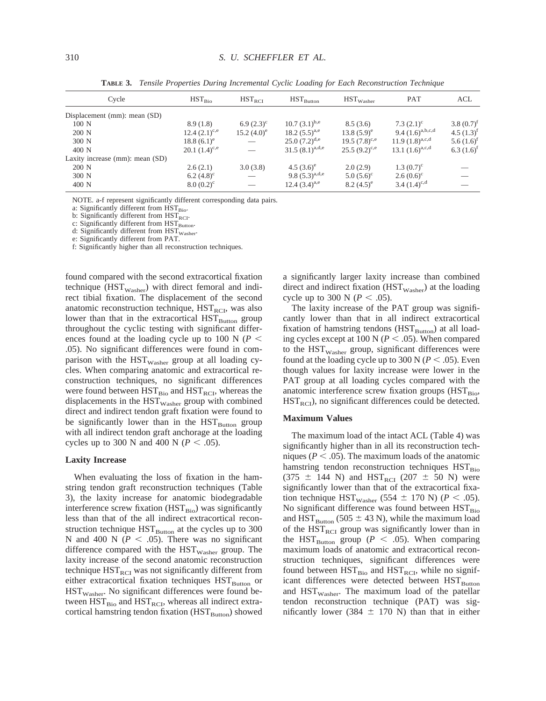| Cycle                                | $HST_{\rm Bio}$    | $HST_{RCI}$    | $HST_{\text{Button}}$ | $\operatorname{HST}_{\text{Washer}}$ | <b>PAT</b>            | <b>ACL</b>      |
|--------------------------------------|--------------------|----------------|-----------------------|--------------------------------------|-----------------------|-----------------|
| Displacement (mm): mean (SD)         |                    |                |                       |                                      |                       |                 |
| 100 N                                | 8.9(1.8)           | $6.9(2.3)^c$   | $10.7 (3.1)^{b,e}$    | 8.5(3.6)                             | 7.3 $(2.1)^c$         | 3.8 $(0.7)^f$   |
| $200$ N                              | $12.4 (2.1)^{c,e}$ | 15.2 $(4.0)^e$ | 18.2 $(5.5)^{a,e}$    | $13.8(5.9)^e$                        | 9.4 $(1.6)^{a,b,c,d}$ | 4.5 $(1.3)^{t}$ |
| 300 N                                | $18.8(6.1)^e$      |                | $25.0 (7.2)^{d,e}$    | $19.5 (7.8)^{c,e}$                   | $11.9(1.8)^{a,c,d}$   | $5.6(1.6)^t$    |
| $400$ N                              | $20.1 (1.4)^{c,e}$ |                | 31.5 $(8.1)^{a,d,e}$  | $25.5(9.2)^{c,e}$                    | 13.1 $(1.6)^{a,c,d}$  | 6.3 $(1.6)^t$   |
| Laxity increase $(mm)$ : mean $(SD)$ |                    |                |                       |                                      |                       |                 |
| $200\text{ N}$                       | 2.6(2.1)           | 3.0(3.8)       | $4.5(3.6)^e$          | 2.0(2.9)                             | $1.3(0.7)^c$          |                 |
| 300 N                                | 6.2 $(4.8)^c$      |                | 9.8 $(5.3)^{a,d,e}$   | $5.0(5.6)^{\circ}$                   | $2.6(0.6)^{\circ}$    |                 |
| $400$ N                              | $8.0 (0.2)^c$      |                | 12.4 $(3.4)^{a,e}$    | $8.2 (4.5)^e$                        | 3.4 $(1.4)^{c,d}$     |                 |

**TABLE 3.** *Tensile Properties During Incremental Cyclic Loading for Each Reconstruction Technique*

NOTE. a-f represent significantly different corresponding data pairs.

a: Significantly different from  $\overline{\text{HST}}_{\text{Bio}}$ .

b: Significantly different from  $HST_{\text{RCI}}$ .

c: Significantly different from  $HST_{\text{Button}}$ .

d: Significantly different from  $HST_{Washer}$ .

e: Significantly different from PAT.

f: Significantly higher than all reconstruction techniques.

found compared with the second extracortical fixation technique ( $HST_{\text{Washer}}$ ) with direct femoral and indirect tibial fixation. The displacement of the second anatomic reconstruction technique,  $HST<sub>RCI</sub>$ , was also lower than that in the extracortical HST<sub>Button</sub> group throughout the cyclic testing with significant differences found at the loading cycle up to 100 N ( $P \leq$ .05). No significant differences were found in comparison with the  $HST_{Washer}$  group at all loading cycles. When comparing anatomic and extracortical reconstruction techniques, no significant differences were found between  $HST_{\text{Bio}}$  and  $HST_{\text{RCI}}$ , whereas the displacements in the  $HST_{\text{Washer}}$  group with combined direct and indirect tendon graft fixation were found to be significantly lower than in the  $HST_{\text{Button}}$  group with all indirect tendon graft anchorage at the loading cycles up to 300 N and 400 N ( $P < .05$ ).

#### **Laxity Increase**

When evaluating the loss of fixation in the hamstring tendon graft reconstruction techniques (Table 3), the laxity increase for anatomic biodegradable interference screw fixation  $(HST_{\text{Bio}})$  was significantly less than that of the all indirect extracortical reconstruction technique  $HST<sub>Button</sub>$  at the cycles up to 300 N and 400 N ( $P < .05$ ). There was no significant difference compared with the  $HST_{Washer}$  group. The laxity increase of the second anatomic reconstruction technique  $HST_{\text{RCI}}$  was not significantly different from either extracortical fixation techniques  $HST<sub>Button</sub>$  or HST<sub>Washer</sub>. No significant differences were found between  $HST_{\text{Bio}}$  and  $HST_{\text{RCI}}$ , whereas all indirect extracortical hamstring tendon fixation  $(HST<sub>Button</sub>)$  showed a significantly larger laxity increase than combined direct and indirect fixation  $(HST_{Washer})$  at the loading cycle up to 300 N ( $P < .05$ ).

The laxity increase of the PAT group was significantly lower than that in all indirect extracortical fixation of hamstring tendons  $(HST<sub>Buton</sub>)$  at all loading cycles except at 100 N ( $P < .05$ ). When compared to the  $HST_{\text{Washer}}$  group, significant differences were found at the loading cycle up to 300 N ( $P < .05$ ). Even though values for laxity increase were lower in the PAT group at all loading cycles compared with the anatomic interference screw fixation groups  $(HST_{\text{Bio}},$  $HST_{RCI}$ , no significant differences could be detected.

## **Maximum Values**

The maximum load of the intact ACL (Table 4) was significantly higher than in all its reconstruction techniques ( $P < .05$ ). The maximum loads of the anatomic hamstring tendon reconstruction techniques  $HST_{\text{Bio}}$  $(375 \pm 144 \text{ N})$  and  $HST_{RCI}$  (207  $\pm$  50 N) were significantly lower than that of the extracortical fixation technique HST<sub>Washer</sub> (554  $\pm$  170 N) (*P* < .05). No significant difference was found between  $HST_{\text{Bio}}$ and HST<sub>Button</sub> (505  $\pm$  43 N), while the maximum load of the  $HST_{\text{RCI}}$  group was significantly lower than in the HST<sub>Button</sub> group ( $P < .05$ ). When comparing maximum loads of anatomic and extracortical reconstruction techniques, significant differences were found between  $HST_{Bio}$  and  $HST_{RCI}$ , while no significant differences were detected between  $HST<sub>Button</sub>$ and  $HST_{Washer}$ . The maximum load of the patellar tendon reconstruction technique (PAT) was significantly lower (384  $\pm$  170 N) than that in either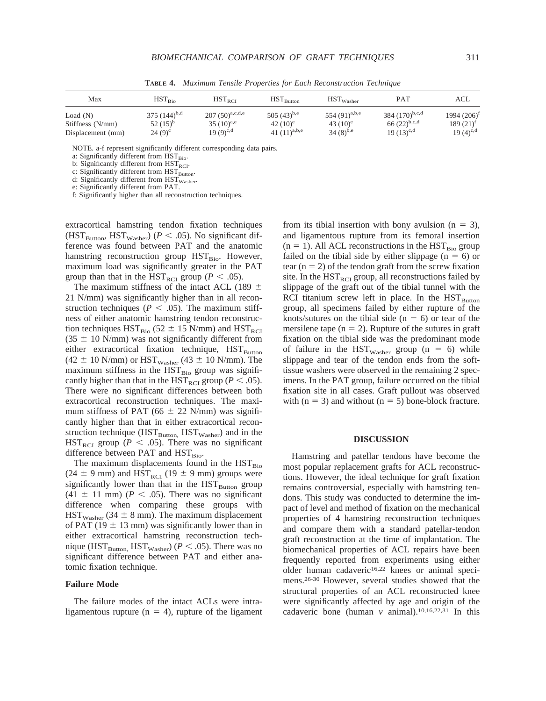| Max               | $HST_{\text{Bio}}$ | $HST_{\rm RCI}$       | $HST_{\text{Button}}$ | $HST_{Washer}$     | <b>PAT</b>          | ACL            |
|-------------------|--------------------|-----------------------|-----------------------|--------------------|---------------------|----------------|
| Load $(N)$        | $375(144)^{b,d}$   | $(207 (50)^{a,c,d,e}$ | 505 $(43)^{b,e}$      | 554 $(91)^{a,b,e}$ | 384 $(170)^{b,c,d}$ | $1994 (206)^t$ |
| Stiffness (N/mm)  | 52 $(15)^{b}$      | $35(10)^{a,e}$        | $42(10)^e$            | 43 $(10)^e$        | $66(22)^{b,c,d}$    | $189(21)^t$    |
| Displacement (mm) | $24(9)^{\circ}$    | $19(9)^{c,d}$         | 41 $(11)^{a,b,e}$     | 34 $(8)^{b,e}$     | $19(13)^{c,d}$      | 19 $(4)^{c,d}$ |

**TABLE 4.** *Maximum Tensile Properties for Each Reconstruction Technique*

NOTE. a-f represent significantly different corresponding data pairs.

a: Significantly different from  $\operatorname{HST}_\mathrm{Bio}$ .

b: Significantly different from  $HST_{\text{RCI}}^{\text{max}}$ .

 $\overline{\text{c:}$  Significantly different from  $\overline{\text{HST}_{\text{Button}}}$ .

d: Significantly different from  $HST_{\text{Washer}}$ .

e: Significantly different from PAT.

f: Significantly higher than all reconstruction techniques.

extracortical hamstring tendon fixation techniques (HST<sub>Button</sub>, HST<sub>Washer</sub>) ( $P < .05$ ). No significant difference was found between PAT and the anatomic hamstring reconstruction group  $HST_{\text{Bio}}$ . However, maximum load was significantly greater in the PAT group than that in the  $HST_{\text{RCI}}$  group ( $P < .05$ ).

The maximum stiffness of the intact ACL (189  $\pm$ 21 N/mm) was significantly higher than in all reconstruction techniques ( $P < .05$ ). The maximum stiffness of either anatomic hamstring tendon reconstruction techniques  $HST_{\text{Bio}}$  (52  $\pm$  15 N/mm) and  $HST_{\text{RCT}}$  $(35 \pm 10 \text{ N/mm})$  was not significantly different from either extracortical fixation technique,  $HST<sub>Button</sub>$ (42  $\pm$  10 N/mm) or HST<sub>Washer</sub> (43  $\pm$  10 N/mm). The maximum stiffness in the  $HST_{\text{Bio}}$  group was significantly higher than that in the  $HST_{\text{RCI}}$  group ( $P < .05$ ). There were no significant differences between both extracortical reconstruction techniques. The maximum stiffness of PAT (66  $\pm$  22 N/mm) was significantly higher than that in either extracortical reconstruction technique ( $HST<sub>Button</sub>$ ,  $HST<sub>Washington</sub>$ ) and in the  $HST_{\text{RCI}}$  group ( $P < .05$ ). There was no significant difference between PAT and  $HST_{\text{Bio}}$ .

The maximum displacements found in the  $HST_{\text{Bio}}$ (24  $\pm$  9 mm) and HST<sub>RCI</sub> (19  $\pm$  9 mm) groups were significantly lower than that in the  $HST<sub>Button</sub>$  group  $(41 \pm 11 \text{ mm})$  ( $P < .05$ ). There was no significant difference when comparing these groups with  $HST_{\text{Washer}}$  (34  $\pm$  8 mm). The maximum displacement of PAT (19  $\pm$  13 mm) was significantly lower than in either extracortical hamstring reconstruction technique (HST<sub>Button,</sub> HST<sub>Washer</sub>) ( $\overline{P}$  < .05). There was no significant difference between PAT and either anatomic fixation technique.

#### **Failure Mode**

The failure modes of the intact ACLs were intraligamentous rupture ( $n = 4$ ), rupture of the ligament from its tibial insertion with bony avulsion  $(n = 3)$ , and ligamentous rupture from its femoral insertion  $(n = 1)$ . All ACL reconstructions in the HST<sub>Bio</sub> group failed on the tibial side by either slippage  $(n = 6)$  or tear  $(n = 2)$  of the tendon graft from the screw fixation site. In the  $HST_{\text{RCI}}$  group, all reconstructions failed by slippage of the graft out of the tibial tunnel with the RCI titanium screw left in place. In the  $HST<sub>Button</sub>$ group, all specimens failed by either rupture of the knots/sutures on the tibial side  $(n = 6)$  or tear of the mersilene tape  $(n = 2)$ . Rupture of the sutures in graft fixation on the tibial side was the predominant mode of failure in the  $HST_{\text{Washer}}$  group (n = 6) while slippage and tear of the tendon ends from the softtissue washers were observed in the remaining 2 specimens. In the PAT group, failure occurred on the tibial fixation site in all cases. Graft pullout was observed with  $(n = 3)$  and without  $(n = 5)$  bone-block fracture.

#### **DISCUSSION**

Hamstring and patellar tendons have become the most popular replacement grafts for ACL reconstructions. However, the ideal technique for graft fixation remains controversial, especially with hamstring tendons. This study was conducted to determine the impact of level and method of fixation on the mechanical properties of 4 hamstring reconstruction techniques and compare them with a standard patellar-tendon graft reconstruction at the time of implantation. The biomechanical properties of ACL repairs have been frequently reported from experiments using either older human cadaveric<sup>16,22</sup> knees or animal specimens.26-30 However, several studies showed that the structural properties of an ACL reconstructed knee were significantly affected by age and origin of the cadaveric bone (human  $\nu$  animal).<sup>10,16,22,31</sup> In this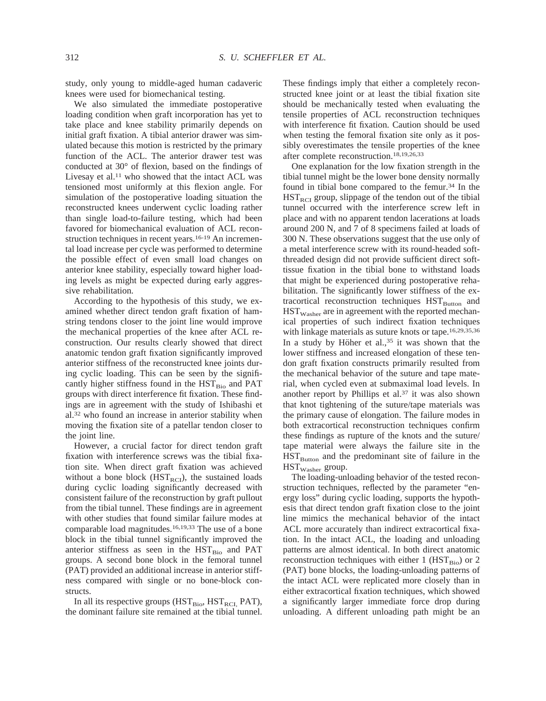study, only young to middle-aged human cadaveric knees were used for biomechanical testing.

We also simulated the immediate postoperative loading condition when graft incorporation has yet to take place and knee stability primarily depends on initial graft fixation. A tibial anterior drawer was simulated because this motion is restricted by the primary function of the ACL. The anterior drawer test was conducted at 30° of flexion, based on the findings of Livesay et al.<sup>11</sup> who showed that the intact ACL was tensioned most uniformly at this flexion angle. For simulation of the postoperative loading situation the reconstructed knees underwent cyclic loading rather than single load-to-failure testing, which had been favored for biomechanical evaluation of ACL reconstruction techniques in recent years.<sup>16-19</sup> An incremental load increase per cycle was performed to determine the possible effect of even small load changes on anterior knee stability, especially toward higher loading levels as might be expected during early aggressive rehabilitation.

According to the hypothesis of this study, we examined whether direct tendon graft fixation of hamstring tendons closer to the joint line would improve the mechanical properties of the knee after ACL reconstruction. Our results clearly showed that direct anatomic tendon graft fixation significantly improved anterior stiffness of the reconstructed knee joints during cyclic loading. This can be seen by the significantly higher stiffness found in the  $HST_{\text{Bio}}$  and PAT groups with direct interference fit fixation. These findings are in agreement with the study of Ishibashi et al.32 who found an increase in anterior stability when moving the fixation site of a patellar tendon closer to the joint line.

However, a crucial factor for direct tendon graft fixation with interference screws was the tibial fixation site. When direct graft fixation was achieved without a bone block  $(HST_{RCI})$ , the sustained loads during cyclic loading significantly decreased with consistent failure of the reconstruction by graft pullout from the tibial tunnel. These findings are in agreement with other studies that found similar failure modes at comparable load magnitudes.16,19,33 The use of a bone block in the tibial tunnel significantly improved the anterior stiffness as seen in the  $HST_{\text{Bio}}$  and PAT groups. A second bone block in the femoral tunnel (PAT) provided an additional increase in anterior stiffness compared with single or no bone-block constructs.

In all its respective groups  $(HST_{\text{Bio}}, HST_{\text{RCI}})$ , the dominant failure site remained at the tibial tunnel.

These findings imply that either a completely reconstructed knee joint or at least the tibial fixation site should be mechanically tested when evaluating the tensile properties of ACL reconstruction techniques with interference fit fixation. Caution should be used when testing the femoral fixation site only as it possibly overestimates the tensile properties of the knee after complete reconstruction.18,19,26,33

One explanation for the low fixation strength in the tibial tunnel might be the lower bone density normally found in tibial bone compared to the femur.34 In the  $HST_{\text{RCI}}$  group, slippage of the tendon out of the tibial tunnel occurred with the interference screw left in place and with no apparent tendon lacerations at loads around 200 N, and 7 of 8 specimens failed at loads of 300 N. These observations suggest that the use only of a metal interference screw with its round-headed softthreaded design did not provide sufficient direct softtissue fixation in the tibial bone to withstand loads that might be experienced during postoperative rehabilitation. The significantly lower stiffness of the extracortical reconstruction techniques  $HST<sub>Button</sub>$  and  $HST_{\text{Washer}}$  are in agreement with the reported mechanical properties of such indirect fixation techniques with linkage materials as suture knots or tape.<sup>16,29,35,36</sup> In a study by Höher et al., $35$  it was shown that the lower stiffness and increased elongation of these tendon graft fixation constructs primarily resulted from the mechanical behavior of the suture and tape material, when cycled even at submaximal load levels. In another report by Phillips et al.37 it was also shown that knot tightening of the suture/tape materials was the primary cause of elongation. The failure modes in both extracortical reconstruction techniques confirm these findings as rupture of the knots and the suture/ tape material were always the failure site in the  $HST<sub>Button</sub>$  and the predominant site of failure in the  $HST_{Washer}$  group.

The loading-unloading behavior of the tested reconstruction techniques, reflected by the parameter "energy loss" during cyclic loading, supports the hypothesis that direct tendon graft fixation close to the joint line mimics the mechanical behavior of the intact ACL more accurately than indirect extracortical fixation. In the intact ACL, the loading and unloading patterns are almost identical. In both direct anatomic reconstruction techniques with either 1 ( $HST_{\text{Bio}}$ ) or 2 (PAT) bone blocks, the loading-unloading patterns of the intact ACL were replicated more closely than in either extracortical fixation techniques, which showed a significantly larger immediate force drop during unloading. A different unloading path might be an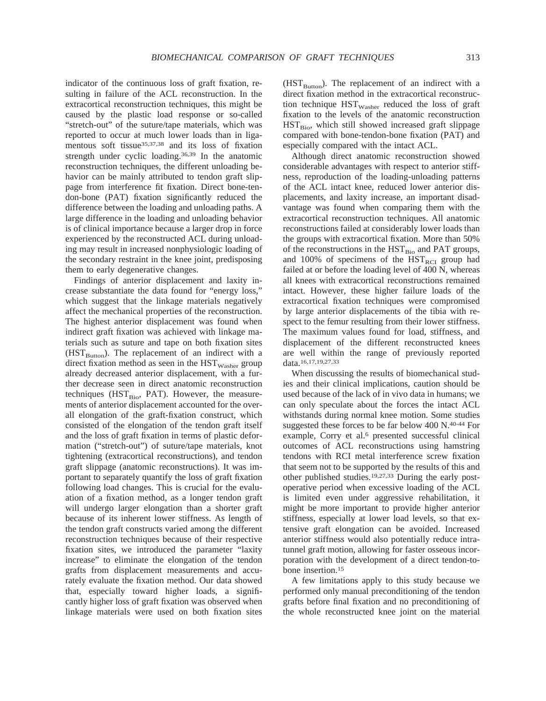indicator of the continuous loss of graft fixation, resulting in failure of the ACL reconstruction. In the extracortical reconstruction techniques, this might be caused by the plastic load response or so-called "stretch-out" of the suture/tape materials, which was reported to occur at much lower loads than in ligamentous soft tissue35,37,38 and its loss of fixation strength under cyclic loading.36,39 In the anatomic reconstruction techniques, the different unloading behavior can be mainly attributed to tendon graft slippage from interference fit fixation. Direct bone-tendon-bone (PAT) fixation significantly reduced the difference between the loading and unloading paths. A large difference in the loading and unloading behavior is of clinical importance because a larger drop in force experienced by the reconstructed ACL during unloading may result in increased nonphysiologic loading of the secondary restraint in the knee joint, predisposing them to early degenerative changes.

Findings of anterior displacement and laxity increase substantiate the data found for "energy loss," which suggest that the linkage materials negatively affect the mechanical properties of the reconstruction. The highest anterior displacement was found when indirect graft fixation was achieved with linkage materials such as suture and tape on both fixation sites  $(HST<sub>Button</sub>)$ . The replacement of an indirect with a direct fixation method as seen in the  $HST_{\text{Washer}}$  group already decreased anterior displacement, with a further decrease seen in direct anatomic reconstruction techniques ( $HST<sub>Bio</sub>$ , PAT). However, the measurements of anterior displacement accounted for the overall elongation of the graft-fixation construct, which consisted of the elongation of the tendon graft itself and the loss of graft fixation in terms of plastic deformation ("stretch-out") of suture/tape materials, knot tightening (extracortical reconstructions), and tendon graft slippage (anatomic reconstructions). It was important to separately quantify the loss of graft fixation following load changes. This is crucial for the evaluation of a fixation method, as a longer tendon graft will undergo larger elongation than a shorter graft because of its inherent lower stiffness. As length of the tendon graft constructs varied among the different reconstruction techniques because of their respective fixation sites, we introduced the parameter "laxity increase" to eliminate the elongation of the tendon grafts from displacement measurements and accurately evaluate the fixation method. Our data showed that, especially toward higher loads, a significantly higher loss of graft fixation was observed when linkage materials were used on both fixation sites  $(HST<sub>Button</sub>)$ . The replacement of an indirect with a direct fixation method in the extracortical reconstruction technique  $HST_{Washer}$  reduced the loss of graft fixation to the levels of the anatomic reconstruction  $HST<sub>Bio</sub>$ , which still showed increased graft slippage compared with bone-tendon-bone fixation (PAT) and especially compared with the intact ACL.

Although direct anatomic reconstruction showed considerable advantages with respect to anterior stiffness, reproduction of the loading-unloading patterns of the ACL intact knee, reduced lower anterior displacements, and laxity increase, an important disadvantage was found when comparing them with the extracortical reconstruction techniques. All anatomic reconstructions failed at considerably lower loads than the groups with extracortical fixation. More than 50% of the reconstructions in the  $HST_{\text{Bio}}$  and PAT groups, and 100% of specimens of the  $HST_{\text{RCI}}$  group had failed at or before the loading level of 400 N, whereas all knees with extracortical reconstructions remained intact. However, these higher failure loads of the extracortical fixation techniques were compromised by large anterior displacements of the tibia with respect to the femur resulting from their lower stiffness. The maximum values found for load, stiffness, and displacement of the different reconstructed knees are well within the range of previously reported data.16,17,19,27,33

When discussing the results of biomechanical studies and their clinical implications, caution should be used because of the lack of in vivo data in humans; we can only speculate about the forces the intact ACL withstands during normal knee motion. Some studies suggested these forces to be far below 400 N.40-44 For example, Corry et al.<sup>6</sup> presented successful clinical outcomes of ACL reconstructions using hamstring tendons with RCI metal interference screw fixation that seem not to be supported by the results of this and other published studies.19,27,33 During the early postoperative period when excessive loading of the ACL is limited even under aggressive rehabilitation, it might be more important to provide higher anterior stiffness, especially at lower load levels, so that extensive graft elongation can be avoided. Increased anterior stiffness would also potentially reduce intratunnel graft motion, allowing for faster osseous incorporation with the development of a direct tendon-tobone insertion.15

A few limitations apply to this study because we performed only manual preconditioning of the tendon grafts before final fixation and no preconditioning of the whole reconstructed knee joint on the material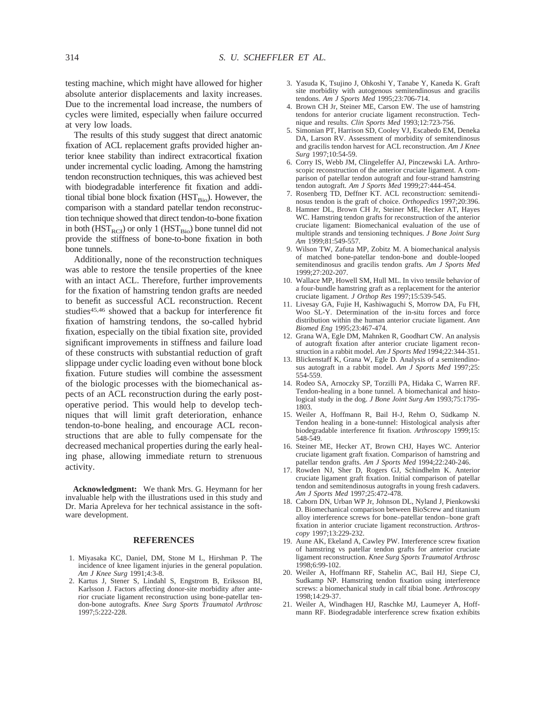testing machine, which might have allowed for higher absolute anterior displacements and laxity increases. Due to the incremental load increase, the numbers of cycles were limited, especially when failure occurred at very low loads.

The results of this study suggest that direct anatomic fixation of ACL replacement grafts provided higher anterior knee stability than indirect extracortical fixation under incremental cyclic loading. Among the hamstring tendon reconstruction techniques, this was achieved best with biodegradable interference fit fixation and additional tibial bone block fixation  $(HST_{\text{Bio}})$ . However, the comparison with a standard patellar tendon reconstruction technique showed that direct tendon-to-bone fixation in both ( $HST_{\text{RCI}}$ ) or only 1 ( $HST_{\text{Bio}}$ ) bone tunnel did not provide the stiffness of bone-to-bone fixation in both bone tunnels.

Additionally, none of the reconstruction techniques was able to restore the tensile properties of the knee with an intact ACL. Therefore, further improvements for the fixation of hamstring tendon grafts are needed to benefit as successful ACL reconstruction. Recent studies<sup>45,46</sup> showed that a backup for interference fit fixation of hamstring tendons, the so-called hybrid fixation, especially on the tibial fixation site, provided significant improvements in stiffness and failure load of these constructs with substantial reduction of graft slippage under cyclic loading even without bone block fixation. Future studies will combine the assessment of the biologic processes with the biomechanical aspects of an ACL reconstruction during the early postoperative period. This would help to develop techniques that will limit graft deterioration, enhance tendon-to-bone healing, and encourage ACL reconstructions that are able to fully compensate for the decreased mechanical properties during the early healing phase, allowing immediate return to strenuous activity.

**Acknowledgment:** We thank Mrs. G. Heymann for her invaluable help with the illustrations used in this study and Dr. Maria Apreleva for her technical assistance in the software development.

### **REFERENCES**

- 1. Miyasaka KC, Daniel, DM, Stone M L, Hirshman P. The incidence of knee ligament injuries in the general population. *Am J Knee Surg* 1991;4:3-8.
- 2. Kartus J, Stener S, Lindahl S, Engstrom B, Eriksson BI, Karlsson J. Factors affecting donor-site morbidity after anterior cruciate ligament reconstruction using bone-patellar tendon-bone autografts. *Knee Surg Sports Traumatol Arthrosc* 1997;5:222-228.
- 3. Yasuda K, Tsujino J, Ohkoshi Y, Tanabe Y, Kaneda K. Graft site morbidity with autogenous semitendinosus and gracilis tendons. *Am J Sports Med* 1995;23:706-714.
- 4. Brown CH Jr, Steiner ME, Carson EW. The use of hamstring tendons for anterior cruciate ligament reconstruction. Technique and results. *Clin Sports Med* 1993;12:723-756.
- 5. Simonian PT, Harrison SD, Cooley VJ, Escabedo EM, Deneka DA, Larson RV. Assessment of morbidity of semitendinosus and gracilis tendon harvest for ACL reconstruction. *Am J Knee Surg* 1997;10:54-59.
- 6. Corry IS, Webb JM, Clingeleffer AJ, Pinczewski LA. Arthroscopic reconstruction of the anterior cruciate ligament. A comparison of patellar tendon autograft and four-strand hamstring tendon autograft. *Am J Sports Med* 1999;27:444-454.
- 7. Rosenberg TD, Deffner KT. ACL reconstruction: semitendinosus tendon is the graft of choice. *Orthopedics* 1997;20:396.
- Hamner DL, Brown CH Jr, Steiner ME, Hecker AT, Hayes WC. Hamstring tendon grafts for reconstruction of the anterior cruciate ligament: Biomechanical evaluation of the use of multiple strands and tensioning techniques. *J Bone Joint Surg Am* 1999;81:549-557.
- 9. Wilson TW, Zafuta MP, Zobitz M. A biomechanical analysis of matched bone-patellar tendon-bone and double-looped semitendinosus and gracilis tendon grafts. *Am J Sports Med* 1999;27:202-207.
- 10. Wallace MP, Howell SM, Hull ML. In vivo tensile behavior of a four-bundle hamstring graft as a replacement for the anterior cruciate ligament. *J Orthop Res* 1997;15:539-545.
- 11. Livesay GA, Fujie H, Kashiwaguchi S, Morrow DA, Fu FH, Woo SL-Y. Determination of the in-situ forces and force distribution within the human anterior cruciate ligament. *Ann Biomed Eng* 1995;23:467-474.
- 12. Grana WA, Egle DM, Mahnken R, Goodhart CW. An analysis of autograft fixation after anterior cruciate ligament reconstruction in a rabbit model. *Am J Sports Med* 1994;22:344-351.
- 13. Blickenstaff K, Grana W, Egle D. Analysis of a semitendinosus autograft in a rabbit model. *Am J Sports Med* 1997;25: 554-559.
- 14. Rodeo SA, Arnoczky SP, Torzilli PA, Hidaka C, Warren RF. Tendon-healing in a bone tunnel. A biomechanical and histological study in the dog. *J Bone Joint Surg Am* 1993;75:1795- 1803.
- 15. Weiler A, Hoffmann R, Bail H-J, Rehm O, Südkamp N. Tendon healing in a bone-tunnel: Histological analysis after biodegradable interference fit fixation. *Arthroscopy* 1999;15: 548-549.
- 16. Steiner ME, Hecker AT, Brown CHJ, Hayes WC. Anterior cruciate ligament graft fixation. Comparison of hamstring and patellar tendon grafts. *Am J Sports Med* 1994;22:240-246.
- 17. Rowden NJ, Sher D, Rogers GJ, Schindhelm K. Anterior cruciate ligament graft fixation. Initial comparison of patellar tendon and semitendinosus autografts in young fresh cadavers. *Am J Sports Med* 1997;25:472-478.
- 18. Caborn DN, Urban WP Jr, Johnson DL, Nyland J, Pienkowski D. Biomechanical comparison between BioScrew and titanium alloy interference screws for bone–patellar tendon–bone graft fixation in anterior cruciate ligament reconstruction. *Arthroscopy* 1997;13:229-232.
- 19. Aune AK, Ekeland A, Cawley PW. Interference screw fixation of hamstring vs patellar tendon grafts for anterior cruciate ligament reconstruction. *Knee Surg Sports Traumatol Arthrosc* 1998;6:99-102.
- 20. Weiler A, Hoffmann RF, Stahelin AC, Bail HJ, Siepe CJ, Sudkamp NP. Hamstring tendon fixation using interference screws: a biomechanical study in calf tibial bone. *Arthroscopy* 1998;14:29-37.
- 21. Weiler A, Windhagen HJ, Raschke MJ, Laumeyer A, Hoffmann RF. Biodegradable interference screw fixation exhibits